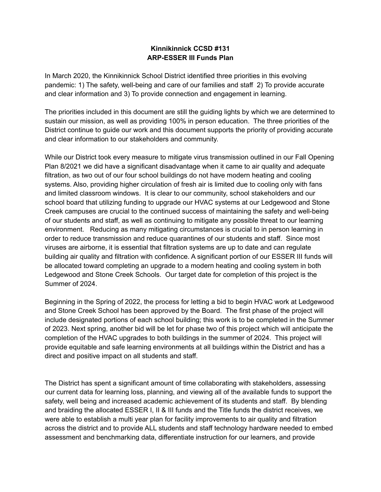## **Kinnikinnick CCSD #131 ARP-ESSER III Funds Plan**

In March 2020, the Kinnikinnick School District identified three priorities in this evolving pandemic: 1) The safety, well-being and care of our families and staff 2) To provide accurate and clear information and 3) To provide connection and engagement in learning.

The priorities included in this document are still the guiding lights by which we are determined to sustain our mission, as well as providing 100% in person education. The three priorities of the District continue to guide our work and this document supports the priority of providing accurate and clear information to our stakeholders and community.

While our District took every measure to mitigate virus transmission outlined in our Fall Opening Plan 8/2021 we did have a significant disadvantage when it came to air quality and adequate filtration, as two out of our four school buildings do not have modern heating and cooling systems. Also, providing higher circulation of fresh air is limited due to cooling only with fans and limited classroom windows. It is clear to our community, school stakeholders and our school board that utilizing funding to upgrade our HVAC systems at our Ledgewood and Stone Creek campuses are crucial to the continued success of maintaining the safety and well-being of our students and staff, as well as continuing to mitigate any possible threat to our learning environment. Reducing as many mitigating circumstances is crucial to in person learning in order to reduce transmission and reduce quarantines of our students and staff. Since most viruses are airborne, it is essential that filtration systems are up to date and can regulate building air quality and filtration with confidence. A significant portion of our ESSER III funds will be allocated toward completing an upgrade to a modern heating and cooling system in both Ledgewood and Stone Creek Schools. Our target date for completion of this project is the Summer of 2024.

Beginning in the Spring of 2022, the process for letting a bid to begin HVAC work at Ledgewood and Stone Creek School has been approved by the Board. The first phase of the project will include designated portions of each school building; this work is to be completed in the Summer of 2023. Next spring, another bid will be let for phase two of this project which will anticipate the completion of the HVAC upgrades to both buildings in the summer of 2024. This project will provide equitable and safe learning environments at all buildings within the District and has a direct and positive impact on all students and staff.

The District has spent a significant amount of time collaborating with stakeholders, assessing our current data for learning loss, planning, and viewing all of the available funds to support the safety, well being and increased academic achievement of its students and staff. By blending and braiding the allocated ESSER I, II & III funds and the Title funds the district receives, we were able to establish a multi year plan for facility improvements to air quality and filtration across the district and to provide ALL students and staff technology hardware needed to embed assessment and benchmarking data, differentiate instruction for our learners, and provide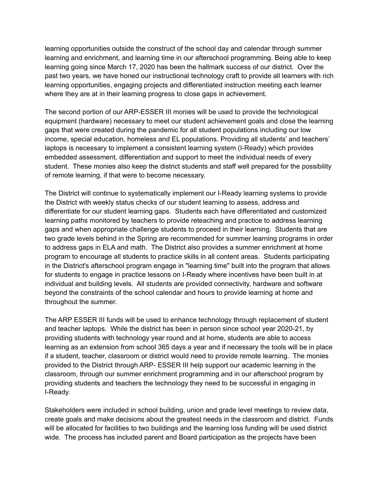learning opportunities outside the construct of the school day and calendar through summer learning and enrichment, and learning time in our afterschool programming. Being able to keep learning going since March 17, 2020 has been the hallmark success of our district. Over the past two years, we have honed our instructional technology craft to provide all learners with rich learning opportunities, engaging projects and differentiated instruction meeting each learner where they are at in their learning progress to close gaps in achievement.

The second portion of our ARP-ESSER III monies will be used to provide the technological equipment (hardware) necessary to meet our student achievement goals and close the learning gaps that were created during the pandemic for all student populations including our low income, special education, homeless and EL populations. Providing all students' and teachers' laptops is necessary to implement a consistent learning system (I-Ready) which provides embedded assessment, differentiation and support to meet the individual needs of every student. These monies also keep the district students and staff well prepared for the possibility of remote learning, if that were to become necessary.

The District will continue to systematically implement our I-Ready learning systems to provide the District with weekly status checks of our student learning to assess, address and differentiate for our student learning gaps. Students each have differentiated and customized learning paths monitored by teachers to provide reteaching and practice to address learning gaps and when appropriate challenge students to proceed in their learning. Students that are two grade levels behind in the Spring are recommended for summer learning programs in order to address gaps in ELA and math. The District also provides a summer enrichment at home program to encourage all students to practice skills in all content areas. Students participating in the District's afterschool program engage in "learning time" built into the program that allows for students to engage in practice lessons on I-Ready where incentives have been built in at individual and building levels. All students are provided connectivity, hardware and software beyond the constraints of the school calendar and hours to provide learning at home and throughout the summer.

The ARP ESSER III funds will be used to enhance technology through replacement of student and teacher laptops. While the district has been in person since school year 2020-21, by providing students with technology year round and at home, students are able to access learning as an extension from school 365 days a year and if necessary the tools will be in place if a student, teacher, classroom or district would need to provide remote learning. The monies provided to the District through ARP- ESSER III help support our academic learning in the classroom, through our summer enrichment programming and in our afterschool program by providing students and teachers the technology they need to be successful in engaging in I-Ready.

Stakeholders were included in school building, union and grade level meetings to review data, create goals and make decisions about the greatest needs in the classroom and district. Funds will be allocated for facilities to two buildings and the learning loss funding will be used district wide. The process has included parent and Board participation as the projects have been